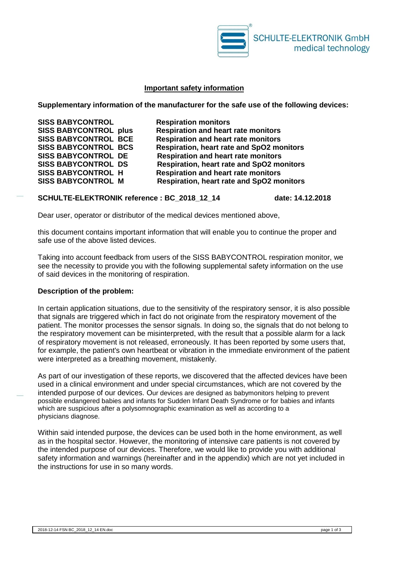

### **Important safety information**

**Supplementary information of the manufacturer for the safe use of the following devices:**

**SISS BABYCONTROL Respiration monitors**

**SISS BABYCONTROL plus Respiration and heart rate monitors SISS BABYCONTROL BCE Respiration and heart rate monitors Respiration, heart rate and SpO2 monitors SISS BABYCONTROL DE Respiration and heart rate monitors Respiration, heart rate and SpO2 monitors** SISS BABYCONTROL H Respiration and heart rate monitors<br>SISS BABYCONTROL M Respiration, heart rate and SpO2 mo **Respiration, heart rate and SpO2 monitors** 

### **SCHULTE-ELEKTRONIK reference : BC\_2018\_12\_14 date: 14.12.2018**

Dear user, operator or distributor of the medical devices mentioned above,

this document contains important information that will enable you to continue the proper and safe use of the above listed devices.

Taking into account feedback from users of the SISS BABYCONTROL respiration monitor, we see the necessity to provide you with the following supplemental safety information on the use of said devices in the monitoring of respiration.

#### **Description of the problem:**

In certain application situations, due to the sensitivity of the respiratory sensor, it is also possible that signals are triggered which in fact do not originate from the respiratory movement of the patient. The monitor processes the sensor signals. In doing so, the signals that do not belong to the respiratory movement can be misinterpreted, with the result that a possible alarm for a lack of respiratory movement is not released, erroneously. It has been reported by some users that, for example, the patient's own heartbeat or vibration in the immediate environment of the patient were interpreted as a breathing movement, mistakenly.

As part of our investigation of these reports, we discovered that the affected devices have been used in a clinical environment and under special circumstances, which are not covered by the intended purpose of our devices. Our devices are designed as babymonitors helping to prevent possible endangered babies and infants for Sudden Infant Death Syndrome or for babies and infants which are suspicious after a polysomnographic examination as well as according to a physicians diagnose.

Within said intended purpose, the devices can be used both in the home environment, as well as in the hospital sector. However, the monitoring of intensive care patients is not covered by the intended purpose of our devices. Therefore, we would like to provide you with additional safety information and warnings (hereinafter and in the appendix) which are not yet included in the instructions for use in so many words.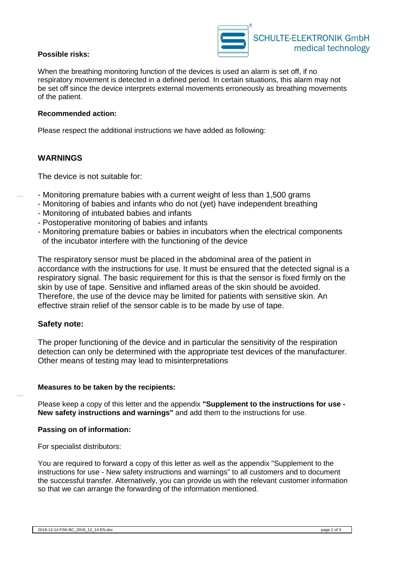

# **Possible risks:**

When the breathing monitoring function of the devices is used an alarm is set off, if no respiratory movement is detected in a defined period. In certain situations, this alarm may not be set off since the device interprets external movements erroneously as breathing movements of the patient.

### **Recommended action:**

Please respect the additional instructions we have added as following:

# **WARNINGS**

The device is not suitable for:

- Monitoring premature babies with a current weight of less than 1,500 grams
- Monitoring of babies and infants who do not (yet) have independent breathing
- Monitoring of intubated babies and infants
- Postoperative monitoring of babies and infants
- Monitoring premature babies or babies in incubators when the electrical components of the incubator interfere with the functioning of the device

The respiratory sensor must be placed in the abdominal area of the patient in accordance with the instructions for use. It must be ensured that the detected signal is a respiratory signal. The basic requirement for this is that the sensor is fixed firmly on the skin by use of tape. Sensitive and inflamed areas of the skin should be avoided. Therefore, the use of the device may be limited for patients with sensitive skin. An effective strain relief of the sensor cable is to be made by use of tape.

## **Safety note:**

The proper functioning of the device and in particular the sensitivity of the respiration detection can only be determined with the appropriate test devices of the manufacturer. Other means of testing may lead to misinterpretations

## **Measures to be taken by the recipients:**

Please keep a copy of this letter and the appendix **"Supplement to the instructions for use - New safety instructions and warnings"** and add them to the instructions for use.

#### **Passing on of information:**

For specialist distributors:

You are required to forward a copy of this letter as well as the appendix "Supplement to the instructions for use - New safety instructions and warnings" to all customers and to document the successful transfer. Alternatively, you can provide us with the relevant customer information so that we can arrange the forwarding of the information mentioned.